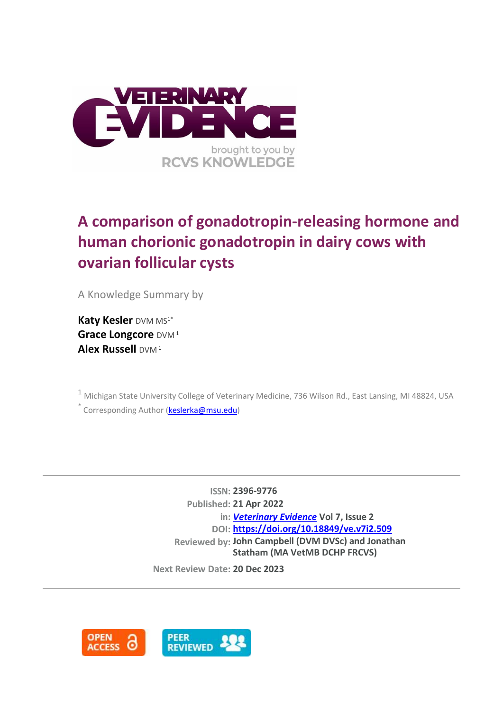

# **A comparison of gonadotropin-releasing hormone and human chorionic gonadotropin in dairy cows with ovarian follicular cysts**

A Knowledge Summary by

**Katy Kesler** DVM MS<sup>1\*</sup> **Grace Longcore** DVM<sup>1</sup> **Alex Russell** DVM<sup>1</sup>

<sup>1</sup> Michigan State University College of Veterinary Medicine, 736 Wilson Rd., East Lansing, MI 48824, USA

\* Corresponding Author [\(keslerka@msu.edu\)](keslerka@msu.edu)

**ISSN: 2396-9776 Published: 21 Apr 2022 in:** *[Veterinary Evidence](https://veterinaryevidence.org/index.php/ve)* **Vol 7, Issue 2 DOI: <https://doi.org/10.18849/ve.v7i2.509> Reviewed by: John Campbell (DVM DVSc) and Jonathan Statham (MA VetMB DCHP FRCVS)**

**Next Review Date: 20 Dec 2023**

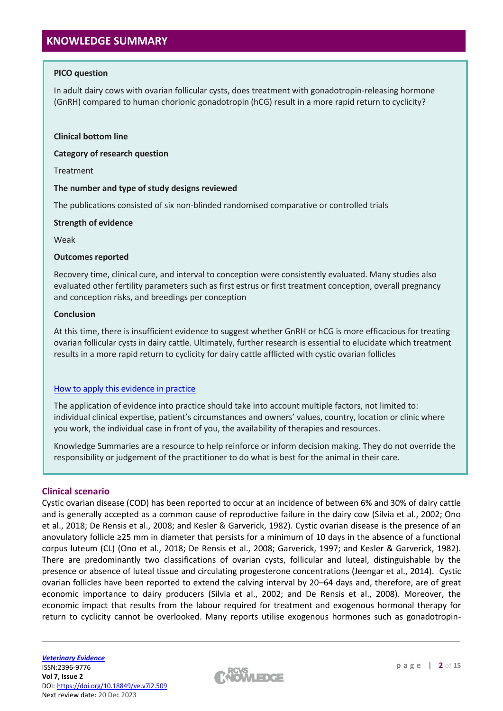# **KNOWLEDGE SUMMARY**

## **PICO question**

In adult dairy cows with ovarian follicular cysts, does treatment with gonadotropin-releasing hormone (GnRH) compared to human chorionic gonadotropin (hCG) result in a more rapid return to cyclicity?

#### **Clinical bottom line**

**Category of research question**

Treatment

## **The number and type of study designs reviewed**

The publications consisted of six non-blinded randomised comparative or controlled trials

## **Strength of evidence**

Weak

## **Outcomes reported**

Recovery time, clinical cure, and interval to conception were consistently evaluated. Many studies also evaluated other fertility parameters such as first estrus or first treatment conception, overall pregnancy and conception risks, and breedings per conception

## **Conclusion**

At this time, there is insufficient evidence to suggest whether GnRH or hCG is more efficacious for treating ovarian follicular cysts in dairy cattle. Ultimately, further research is essential to elucidate which treatment results in a more rapid return to cyclicity for dairy cattle afflicted with cystic ovarian follicles

## [How to apply this evidence in practice](https://learn.rcvsknowledge.org/mod/book/view.php?id=50)

The application of evidence into practice should take into account multiple factors, not limited to: individual clinical expertise, patient's circumstances and owners' values, country, location or clinic where you work, the individual case in front of you, the availability of therapies and resources.

Knowledge Summaries are a resource to help reinforce or inform decision making. They do not override the responsibility or judgement of the practitioner to do what is best for the animal in their care.

## **Clinical scenario**

Cystic ovarian disease (COD) has been reported to occur at an incidence of between 6% and 30% of dairy cattle and is generally accepted as a common cause of reproductive failure in the dairy cow (Silvia et al., 2002; Ono et al., 2018; De Rensis et al., 2008; and Kesler & Garverick, 1982). Cystic ovarian disease is the presence of an anovulatory follicle ≥25 mm in diameter that persists for a minimum of 10 days in the absence of a functional corpus luteum (CL) (Ono et al., 2018; De Rensis et al., 2008; Garverick, 1997; and Kesler & Garverick, 1982). There are predominantly two classifications of ovarian cysts, follicular and luteal, distinguishable by the presence or absence of luteal tissue and circulating progesterone concentrations (Jeengar et al., 2014). Cystic ovarian follicles have been reported to extend the calving interval by 20–64 days and, therefore, are of great economic importance to dairy producers (Silvia et al., 2002; and De Rensis et al., 2008). Moreover, the economic impact that results from the labour required for treatment and exogenous hormonal therapy for return to cyclicity cannot be overlooked. Many reports utilise exogenous hormones such as gonadotropin-

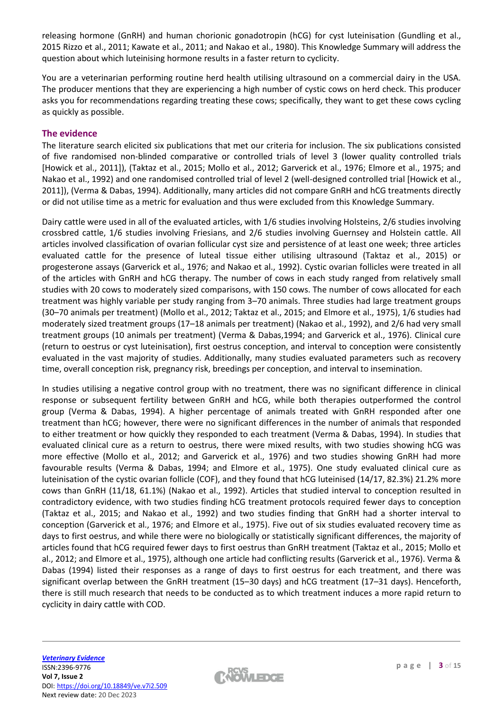releasing hormone (GnRH) and human chorionic gonadotropin (hCG) for cyst luteinisation (Gundling et al., 2015 Rizzo et al., 2011; Kawate et al., 2011; and Nakao et al., 1980). This Knowledge Summary will address the question about which luteinising hormone results in a faster return to cyclicity.

You are a veterinarian performing routine herd health utilising ultrasound on a commercial dairy in the USA. The producer mentions that they are experiencing a high number of cystic cows on herd check. This producer asks you for recommendations regarding treating these cows; specifically, they want to get these cows cycling as quickly as possible.

## **The evidence**

The literature search elicited six publications that met our criteria for inclusion. The six publications consisted of five randomised non-blinded comparative or controlled trials of level 3 (lower quality controlled trials [Howick et al., 2011]), (Taktaz et al., 2015; Mollo et al., 2012; Garverick et al., 1976; Elmore et al., 1975; and Nakao et al., 1992) and one randomised controlled trial of level 2 (well-designed controlled trial [Howick et al., 2011]), (Verma & Dabas, 1994). Additionally, many articles did not compare GnRH and hCG treatments directly or did not utilise time as a metric for evaluation and thus were excluded from this Knowledge Summary.

Dairy cattle were used in all of the evaluated articles, with 1/6 studies involving Holsteins, 2/6 studies involving crossbred cattle, 1/6 studies involving Friesians, and 2/6 studies involving Guernsey and Holstein cattle. All articles involved classification of ovarian follicular cyst size and persistence of at least one week; three articles evaluated cattle for the presence of luteal tissue either utilising ultrasound (Taktaz et al., 2015) or progesterone assays (Garverick et al., 1976; and Nakao et al., 1992). Cystic ovarian follicles were treated in all of the articles with GnRH and hCG therapy. The number of cows in each study ranged from relatively small studies with 20 cows to moderately sized comparisons, with 150 cows. The number of cows allocated for each treatment was highly variable per study ranging from 3–70 animals. Three studies had large treatment groups (30–70 animals per treatment) (Mollo et al., 2012; Taktaz et al., 2015; and Elmore et al., 1975), 1/6 studies had moderately sized treatment groups (17–18 animals per treatment) (Nakao et al., 1992), and 2/6 had very small treatment groups (10 animals per treatment) (Verma & Dabas,1994; and Garverick et al., 1976). Clinical cure (return to oestrus or cyst luteinisation), first oestrus conception, and interval to conception were consistently evaluated in the vast majority of studies. Additionally, many studies evaluated parameters such as recovery time, overall conception risk, pregnancy risk, breedings per conception, and interval to insemination.

In studies utilising a negative control group with no treatment, there was no significant difference in clinical response or subsequent fertility between GnRH and hCG, while both therapies outperformed the control group (Verma & Dabas, 1994). A higher percentage of animals treated with GnRH responded after one treatment than hCG; however, there were no significant differences in the number of animals that responded to either treatment or how quickly they responded to each treatment (Verma & Dabas, 1994). In studies that evaluated clinical cure as a return to oestrus, there were mixed results, with two studies showing hCG was more effective (Mollo et al., 2012; and Garverick et al., 1976) and two studies showing GnRH had more favourable results (Verma & Dabas, 1994; and Elmore et al., 1975). One study evaluated clinical cure as luteinisation of the cystic ovarian follicle (COF), and they found that hCG luteinised (14/17, 82.3%) 21.2% more cows than GnRH (11/18, 61.1%) (Nakao et al., 1992). Articles that studied interval to conception resulted in contradictory evidence, with two studies finding hCG treatment protocols required fewer days to conception (Taktaz et al., 2015; and Nakao et al., 1992) and two studies finding that GnRH had a shorter interval to conception (Garverick et al., 1976; and Elmore et al., 1975). Five out of six studies evaluated recovery time as days to first oestrus, and while there were no biologically or statistically significant differences, the majority of articles found that hCG required fewer days to first oestrus than GnRH treatment (Taktaz et al., 2015; Mollo et al., 2012; and Elmore et al., 1975), although one article had conflicting results (Garverick et al., 1976). Verma & Dabas (1994) listed their responses as a range of days to first oestrus for each treatment, and there was significant overlap between the GnRH treatment (15–30 days) and hCG treatment (17–31 days). Henceforth, there is still much research that needs to be conducted as to which treatment induces a more rapid return to cyclicity in dairy cattle with COD.

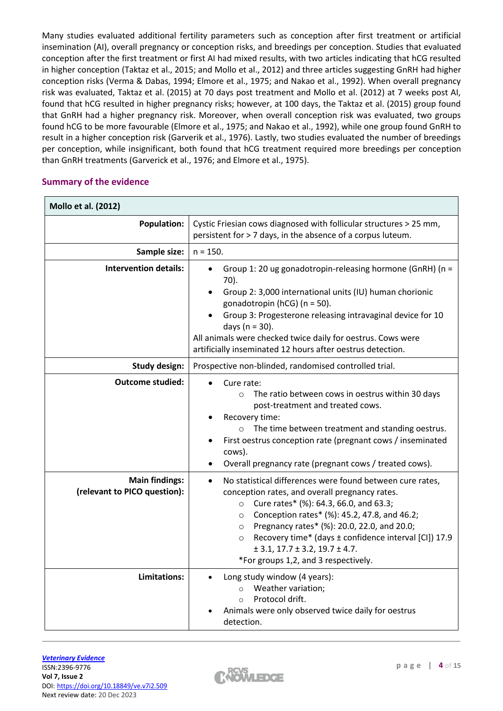Many studies evaluated additional fertility parameters such as conception after first treatment or artificial insemination (AI), overall pregnancy or conception risks, and breedings per conception. Studies that evaluated conception after the first treatment or first AI had mixed results, with two articles indicating that hCG resulted in higher conception (Taktaz et al., 2015; and Mollo et al., 2012) and three articles suggesting GnRH had higher conception risks (Verma & Dabas, 1994; Elmore et al., 1975; and Nakao et al., 1992). When overall pregnancy risk was evaluated, Taktaz et al. (2015) at 70 days post treatment and Mollo et al. (2012) at 7 weeks post AI, found that hCG resulted in higher pregnancy risks; however, at 100 days, the Taktaz et al. (2015) group found that GnRH had a higher pregnancy risk. Moreover, when overall conception risk was evaluated, two groups found hCG to be more favourable (Elmore et al., 1975; and Nakao et al., 1992), while one group found GnRH to result in a higher conception risk (Garverik et al., 1976). Lastly, two studies evaluated the number of breedings per conception, while insignificant, both found that hCG treatment required more breedings per conception than GnRH treatments (Garverick et al., 1976; and Elmore et al., 1975).

## **Summary of the evidence**

| <b>Mollo et al. (2012)</b>                            |                                                                                                                                                                                                                                                                                                                                                                                                                                                 |  |  |  |  |
|-------------------------------------------------------|-------------------------------------------------------------------------------------------------------------------------------------------------------------------------------------------------------------------------------------------------------------------------------------------------------------------------------------------------------------------------------------------------------------------------------------------------|--|--|--|--|
| <b>Population:</b>                                    | Cystic Friesian cows diagnosed with follicular structures > 25 mm,<br>persistent for > 7 days, in the absence of a corpus luteum.                                                                                                                                                                                                                                                                                                               |  |  |  |  |
| Sample size:                                          | $n = 150.$                                                                                                                                                                                                                                                                                                                                                                                                                                      |  |  |  |  |
| <b>Intervention details:</b>                          | Group 1: 20 ug gonadotropin-releasing hormone (GnRH) (n =<br>$\bullet$<br>70).<br>Group 2: 3,000 international units (IU) human chorionic<br>gonadotropin (hCG) ( $n = 50$ ).<br>Group 3: Progesterone releasing intravaginal device for 10<br>days ( $n = 30$ ).<br>All animals were checked twice daily for oestrus. Cows were<br>artificially inseminated 12 hours after oestrus detection.                                                  |  |  |  |  |
| <b>Study design:</b>                                  | Prospective non-blinded, randomised controlled trial.                                                                                                                                                                                                                                                                                                                                                                                           |  |  |  |  |
| <b>Outcome studied:</b>                               | Cure rate:<br>The ratio between cows in oestrus within 30 days<br>$\circ$<br>post-treatment and treated cows.<br>Recovery time:<br>The time between treatment and standing oestrus.<br>$\circ$<br>First oestrus conception rate (pregnant cows / inseminated<br>cows).<br>Overall pregnancy rate (pregnant cows / treated cows).                                                                                                                |  |  |  |  |
| <b>Main findings:</b><br>(relevant to PICO question): | No statistical differences were found between cure rates,<br>conception rates, and overall pregnancy rates.<br>Cure rates* (%): 64.3, 66.0, and 63.3;<br>$\circ$<br>Conception rates* (%): 45.2, 47.8, and 46.2;<br>$\circ$<br>Pregnancy rates* (%): 20.0, 22.0, and 20.0;<br>$\circ$<br>Recovery time* (days ± confidence interval [CI]) 17.9<br>$\circ$<br>$\pm$ 3.1, 17.7 $\pm$ 3.2, 19.7 $\pm$ 4.7.<br>*For groups 1,2, and 3 respectively. |  |  |  |  |
| Limitations:                                          | Long study window (4 years):<br>Weather variation;<br>$\circ$<br>Protocol drift.<br>$\Omega$<br>Animals were only observed twice daily for oestrus<br>detection.                                                                                                                                                                                                                                                                                |  |  |  |  |

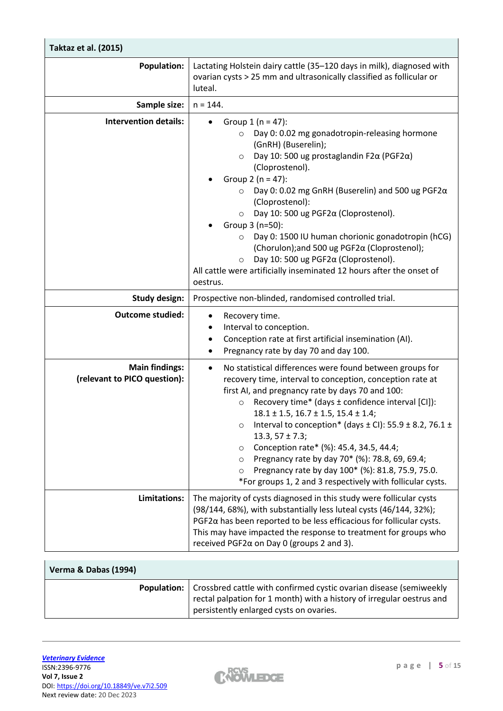| Taktaz et al. (2015)                                  |                                                                                                                                                                                                                                                                                                                                                                                                                                                                                                                                                                                                                                                                        |  |  |  |  |
|-------------------------------------------------------|------------------------------------------------------------------------------------------------------------------------------------------------------------------------------------------------------------------------------------------------------------------------------------------------------------------------------------------------------------------------------------------------------------------------------------------------------------------------------------------------------------------------------------------------------------------------------------------------------------------------------------------------------------------------|--|--|--|--|
| <b>Population:</b>                                    | Lactating Holstein dairy cattle (35-120 days in milk), diagnosed with<br>ovarian cysts > 25 mm and ultrasonically classified as follicular or<br>luteal.                                                                                                                                                                                                                                                                                                                                                                                                                                                                                                               |  |  |  |  |
| Sample size:                                          | $n = 144.$                                                                                                                                                                                                                                                                                                                                                                                                                                                                                                                                                                                                                                                             |  |  |  |  |
| <b>Intervention details:</b>                          | Group $1(n = 47)$ :<br>$\bullet$<br>Day 0: 0.02 mg gonadotropin-releasing hormone<br>$\circ$<br>(GnRH) (Buserelin);<br>Day 10: 500 ug prostaglandin F2 $\alpha$ (PGF2 $\alpha$ )<br>$\circ$<br>(Cloprostenol).<br>Group 2 ( $n = 47$ ):<br>Day 0: 0.02 mg GnRH (Buserelin) and 500 ug PGF2a<br>$\circ$<br>(Cloprostenol):<br>Day 10: 500 ug PGF2a (Cloprostenol).<br>$\circ$<br>Group 3 (n=50):<br>Day 0: 1500 IU human chorionic gonadotropin (hCG)<br>(Chorulon); and 500 ug PGF2α (Cloprostenol);<br>Day 10: 500 ug PGF2α (Cloprostenol).<br>$\circ$<br>All cattle were artificially inseminated 12 hours after the onset of<br>oestrus.                            |  |  |  |  |
| <b>Study design:</b>                                  | Prospective non-blinded, randomised controlled trial.                                                                                                                                                                                                                                                                                                                                                                                                                                                                                                                                                                                                                  |  |  |  |  |
| <b>Outcome studied:</b>                               | Recovery time.<br>$\bullet$<br>Interval to conception.<br>Conception rate at first artificial insemination (AI).<br>Pregnancy rate by day 70 and day 100.                                                                                                                                                                                                                                                                                                                                                                                                                                                                                                              |  |  |  |  |
| <b>Main findings:</b><br>(relevant to PICO question): | No statistical differences were found between groups for<br>$\bullet$<br>recovery time, interval to conception, conception rate at<br>first AI, and pregnancy rate by days 70 and 100:<br>Recovery time* (days ± confidence interval [CI]):<br>$\circ$<br>$18.1 \pm 1.5$ , $16.7 \pm 1.5$ , $15.4 \pm 1.4$ ;<br>Interval to conception* (days $\pm$ CI): 55.9 $\pm$ 8.2, 76.1 $\pm$<br>$\circ$<br>$13.3, 57 \pm 7.3;$<br>Conception rate* (%): 45.4, 34.5, 44.4;<br>$\circ$<br>Pregnancy rate by day 70* (%): 78.8, 69, 69.4;<br>$\circ$<br>Pregnancy rate by day 100* (%): 81.8, 75.9, 75.0.<br>$\circ$<br>*For groups 1, 2 and 3 respectively with follicular cysts. |  |  |  |  |
| Limitations:                                          | The majority of cysts diagnosed in this study were follicular cysts<br>(98/144, 68%), with substantially less luteal cysts (46/144, 32%);<br>$PGF2\alpha$ has been reported to be less efficacious for follicular cysts.<br>This may have impacted the response to treatment for groups who<br>received PGF2 $\alpha$ on Day 0 (groups 2 and 3).                                                                                                                                                                                                                                                                                                                       |  |  |  |  |

| Verma & Dabas (1994) |                                                                                                                                                                                                             |
|----------------------|-------------------------------------------------------------------------------------------------------------------------------------------------------------------------------------------------------------|
|                      | <b>Population:</b>   Crossbred cattle with confirmed cystic ovarian disease (semiweekly<br>rectal palpation for 1 month) with a history of irregular oestrus and<br>persistently enlarged cysts on ovaries. |

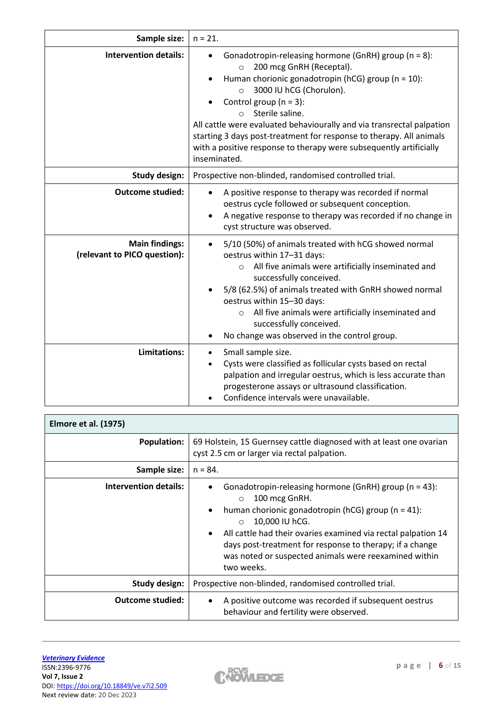| Sample size:                                          | $n = 21.$                                                                                                                                                                                                                                                                                                                                                                                                                                                                                 |  |  |  |  |
|-------------------------------------------------------|-------------------------------------------------------------------------------------------------------------------------------------------------------------------------------------------------------------------------------------------------------------------------------------------------------------------------------------------------------------------------------------------------------------------------------------------------------------------------------------------|--|--|--|--|
| <b>Intervention details:</b>                          | Gonadotropin-releasing hormone (GnRH) group (n = 8):<br>200 mcg GnRH (Receptal).<br>$\circ$<br>Human chorionic gonadotropin (hCG) group (n = 10):<br>3000 IU hCG (Chorulon).<br>$\circ$<br>Control group ( $n = 3$ ):<br>Sterile saline.<br>$\circ$<br>All cattle were evaluated behaviourally and via transrectal palpation<br>starting 3 days post-treatment for response to therapy. All animals<br>with a positive response to therapy were subsequently artificially<br>inseminated. |  |  |  |  |
| <b>Study design:</b>                                  | Prospective non-blinded, randomised controlled trial.                                                                                                                                                                                                                                                                                                                                                                                                                                     |  |  |  |  |
| <b>Outcome studied:</b>                               | A positive response to therapy was recorded if normal<br>oestrus cycle followed or subsequent conception.<br>A negative response to therapy was recorded if no change in<br>cyst structure was observed.                                                                                                                                                                                                                                                                                  |  |  |  |  |
| <b>Main findings:</b><br>(relevant to PICO question): | 5/10 (50%) of animals treated with hCG showed normal<br>$\bullet$<br>oestrus within 17-31 days:<br>All five animals were artificially inseminated and<br>$\circ$<br>successfully conceived.<br>5/8 (62.5%) of animals treated with GnRH showed normal<br>oestrus within 15-30 days:<br>All five animals were artificially inseminated and<br>$\circ$<br>successfully conceived.<br>No change was observed in the control group.                                                           |  |  |  |  |
| Limitations:                                          | Small sample size.<br>Cysts were classified as follicular cysts based on rectal<br>palpation and irregular oestrus, which is less accurate than<br>progesterone assays or ultrasound classification.<br>Confidence intervals were unavailable.                                                                                                                                                                                                                                            |  |  |  |  |

| <b>Elmore et al. (1975)</b>  |                                                                                                                                                                                                                                                                                                                                                                                             |  |  |  |  |
|------------------------------|---------------------------------------------------------------------------------------------------------------------------------------------------------------------------------------------------------------------------------------------------------------------------------------------------------------------------------------------------------------------------------------------|--|--|--|--|
| <b>Population:</b>           | 69 Holstein, 15 Guernsey cattle diagnosed with at least one ovarian<br>cyst 2.5 cm or larger via rectal palpation.                                                                                                                                                                                                                                                                          |  |  |  |  |
| Sample size:                 | $n = 84.$                                                                                                                                                                                                                                                                                                                                                                                   |  |  |  |  |
| <b>Intervention details:</b> | Gonadotropin-releasing hormone (GnRH) group (n = 43):<br>100 mcg GnRH.<br>$\Omega$<br>human chorionic gonadotropin (hCG) group ( $n = 41$ ):<br>$\bullet$<br>10,000 IU hCG.<br>$\Omega$<br>All cattle had their ovaries examined via rectal palpation 14<br>days post-treatment for response to therapy; if a change<br>was noted or suspected animals were reexamined within<br>two weeks. |  |  |  |  |
| Study design:                | Prospective non-blinded, randomised controlled trial.                                                                                                                                                                                                                                                                                                                                       |  |  |  |  |
| <b>Outcome studied:</b>      | A positive outcome was recorded if subsequent oestrus<br>behaviour and fertility were observed.                                                                                                                                                                                                                                                                                             |  |  |  |  |

 $\mathbf{r}$ 

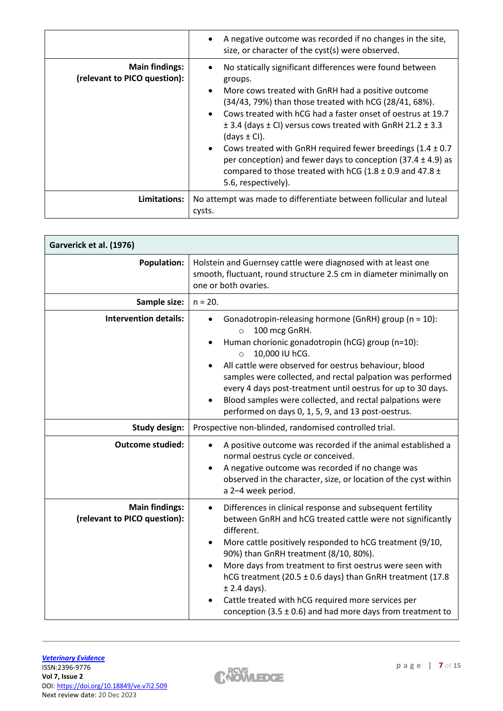|                                                       | A negative outcome was recorded if no changes in the site,<br>size, or character of the cyst(s) were observed.                                                                                                                                                                                                                                                                                                                                                                                                                                                                                              |
|-------------------------------------------------------|-------------------------------------------------------------------------------------------------------------------------------------------------------------------------------------------------------------------------------------------------------------------------------------------------------------------------------------------------------------------------------------------------------------------------------------------------------------------------------------------------------------------------------------------------------------------------------------------------------------|
| <b>Main findings:</b><br>(relevant to PICO question): | No statically significant differences were found between<br>groups.<br>More cows treated with GnRH had a positive outcome<br>$\bullet$<br>(34/43, 79%) than those treated with hCG (28/41, 68%).<br>Cows treated with hCG had a faster onset of oestrus at 19.7<br>$\pm$ 3.4 (days $\pm$ CI) versus cows treated with GnRH 21.2 $\pm$ 3.3<br>(days $\pm$ CI).<br>Cows treated with GnRH required fewer breedings (1.4 $\pm$ 0.7<br>$\bullet$<br>per conception) and fewer days to conception $(37.4 \pm 4.9)$ as<br>compared to those treated with hCG (1.8 $\pm$ 0.9 and 47.8 $\pm$<br>5.6, respectively). |
| Limitations:                                          | No attempt was made to differentiate between follicular and luteal<br>cysts.                                                                                                                                                                                                                                                                                                                                                                                                                                                                                                                                |

| Garverick et al. (1976)                               |                                                                                                                                                                                                                                                                                                                                                                                                                                                                                                                                                      |  |  |  |  |
|-------------------------------------------------------|------------------------------------------------------------------------------------------------------------------------------------------------------------------------------------------------------------------------------------------------------------------------------------------------------------------------------------------------------------------------------------------------------------------------------------------------------------------------------------------------------------------------------------------------------|--|--|--|--|
| <b>Population:</b>                                    | Holstein and Guernsey cattle were diagnosed with at least one<br>smooth, fluctuant, round structure 2.5 cm in diameter minimally on<br>one or both ovaries.                                                                                                                                                                                                                                                                                                                                                                                          |  |  |  |  |
| Sample size:                                          | $n = 20.$                                                                                                                                                                                                                                                                                                                                                                                                                                                                                                                                            |  |  |  |  |
| <b>Intervention details:</b>                          | Gonadotropin-releasing hormone (GnRH) group (n = 10):<br>100 mcg GnRH.<br>$\circ$<br>Human chorionic gonadotropin (hCG) group (n=10):<br>٠<br>10,000 IU hCG.<br>$\circ$<br>All cattle were observed for oestrus behaviour, blood<br>samples were collected, and rectal palpation was performed<br>every 4 days post-treatment until oestrus for up to 30 days.<br>Blood samples were collected, and rectal palpations were<br>$\bullet$<br>performed on days 0, 1, 5, 9, and 13 post-oestrus.                                                        |  |  |  |  |
| <b>Study design:</b>                                  | Prospective non-blinded, randomised controlled trial.                                                                                                                                                                                                                                                                                                                                                                                                                                                                                                |  |  |  |  |
| <b>Outcome studied:</b>                               | A positive outcome was recorded if the animal established a<br>$\bullet$<br>normal oestrus cycle or conceived.<br>A negative outcome was recorded if no change was<br>$\bullet$<br>observed in the character, size, or location of the cyst within<br>a 2-4 week period.                                                                                                                                                                                                                                                                             |  |  |  |  |
| <b>Main findings:</b><br>(relevant to PICO question): | Differences in clinical response and subsequent fertility<br>$\bullet$<br>between GnRH and hCG treated cattle were not significantly<br>different.<br>More cattle positively responded to hCG treatment (9/10,<br>$\bullet$<br>90%) than GnRH treatment (8/10, 80%).<br>More days from treatment to first oestrus were seen with<br>$\bullet$<br>hCG treatment (20.5 ± 0.6 days) than GnRH treatment (17.8<br>$±$ 2.4 days).<br>Cattle treated with hCG required more services per<br>conception (3.5 $\pm$ 0.6) and had more days from treatment to |  |  |  |  |

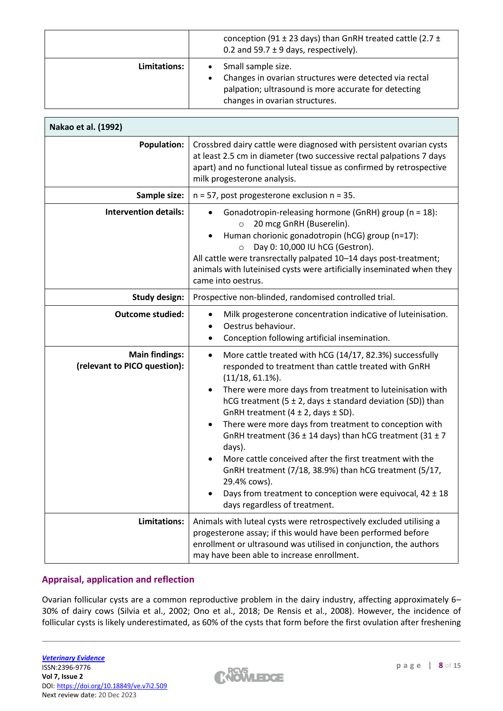|                | conception (91 $\pm$ 23 days) than GnRH treated cattle (2.7 $\pm$<br>0.2 and 59.7 $\pm$ 9 days, respectively).                                                         |
|----------------|------------------------------------------------------------------------------------------------------------------------------------------------------------------------|
| Limitations: I | Small sample size.<br>Changes in ovarian structures were detected via rectal<br>palpation; ultrasound is more accurate for detecting<br>changes in ovarian structures. |

| Nakao et al. (1992)                                   |                                                                                                                                                                                                                                                                                                                                                                                                                                                                                                                                                                                                                                                                                                                                                            |  |  |  |  |
|-------------------------------------------------------|------------------------------------------------------------------------------------------------------------------------------------------------------------------------------------------------------------------------------------------------------------------------------------------------------------------------------------------------------------------------------------------------------------------------------------------------------------------------------------------------------------------------------------------------------------------------------------------------------------------------------------------------------------------------------------------------------------------------------------------------------------|--|--|--|--|
| <b>Population:</b>                                    | Crossbred dairy cattle were diagnosed with persistent ovarian cysts<br>at least 2.5 cm in diameter (two successive rectal palpations 7 days<br>apart) and no functional luteal tissue as confirmed by retrospective<br>milk progesterone analysis.                                                                                                                                                                                                                                                                                                                                                                                                                                                                                                         |  |  |  |  |
| Sample size:                                          | $n = 57$ , post progesterone exclusion $n = 35$ .                                                                                                                                                                                                                                                                                                                                                                                                                                                                                                                                                                                                                                                                                                          |  |  |  |  |
| <b>Intervention details:</b>                          | Gonadotropin-releasing hormone (GnRH) group (n = 18):<br>$\bullet$<br>20 mcg GnRH (Buserelin).<br>$\circ$<br>Human chorionic gonadotropin (hCG) group (n=17):<br>Day 0: 10,000 IU hCG (Gestron).<br>$\circ$<br>All cattle were transrectally palpated 10-14 days post-treatment;<br>animals with luteinised cysts were artificially inseminated when they<br>came into oestrus.                                                                                                                                                                                                                                                                                                                                                                            |  |  |  |  |
| <b>Study design:</b>                                  | Prospective non-blinded, randomised controlled trial.                                                                                                                                                                                                                                                                                                                                                                                                                                                                                                                                                                                                                                                                                                      |  |  |  |  |
| <b>Outcome studied:</b>                               | Milk progesterone concentration indicative of luteinisation.<br>$\bullet$<br>Oestrus behaviour.<br>Conception following artificial insemination.<br>٠                                                                                                                                                                                                                                                                                                                                                                                                                                                                                                                                                                                                      |  |  |  |  |
| <b>Main findings:</b><br>(relevant to PICO question): | More cattle treated with hCG (14/17, 82.3%) successfully<br>$\bullet$<br>responded to treatment than cattle treated with GnRH<br>$(11/18, 61.1\%).$<br>There were more days from treatment to luteinisation with<br>$\bullet$<br>hCG treatment (5 $\pm$ 2, days $\pm$ standard deviation (SD)) than<br>GnRH treatment $(4 \pm 2, \text{days} \pm \text{SD}).$<br>There were more days from treatment to conception with<br>$\bullet$<br>GnRH treatment (36 $\pm$ 14 days) than hCG treatment (31 $\pm$ 7<br>days).<br>More cattle conceived after the first treatment with the<br>GnRH treatment (7/18, 38.9%) than hCG treatment (5/17,<br>29.4% cows).<br>Days from treatment to conception were equivocal, $42 \pm 18$<br>days regardless of treatment. |  |  |  |  |
| Limitations:                                          | Animals with luteal cysts were retrospectively excluded utilising a<br>progesterone assay; if this would have been performed before<br>enrollment or ultrasound was utilised in conjunction, the authors<br>may have been able to increase enrollment.                                                                                                                                                                                                                                                                                                                                                                                                                                                                                                     |  |  |  |  |

## **Appraisal, application and reflection**

Ovarian follicular cysts are a common reproductive problem in the dairy industry, affecting approximately 6– 30% of dairy cows (Silvia et al., 2002; Ono et al., 2018; De Rensis et al., 2008). However, the incidence of follicular cysts is likely underestimated, as 60% of the cysts that form before the first ovulation after freshening

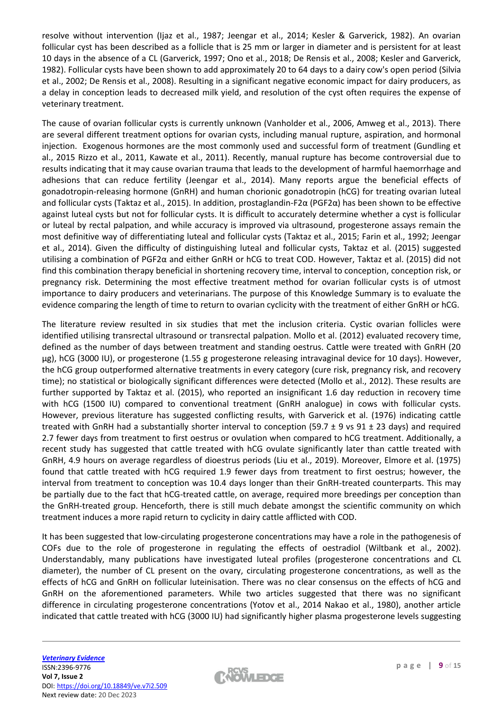resolve without intervention (Ijaz et al., 1987; Jeengar et al., 2014; Kesler & Garverick, 1982). An ovarian follicular cyst has been described as a follicle that is 25 mm or larger in diameter and is persistent for at least 10 days in the absence of a CL (Garverick, 1997; Ono et al., 2018; De Rensis et al., 2008; Kesler and Garverick, 1982). Follicular cysts have been shown to add approximately 20 to 64 days to a dairy cow's open period (Silvia et al., 2002; De Rensis et al., 2008). Resulting in a significant negative economic impact for dairy producers, as a delay in conception leads to decreased milk yield, and resolution of the cyst often requires the expense of veterinary treatment.

The cause of ovarian follicular cysts is currently unknown (Vanholder et al., 2006, Amweg et al., 2013). There are several different treatment options for ovarian cysts, including manual rupture, aspiration, and hormonal injection. Exogenous hormones are the most commonly used and successful form of treatment (Gundling et al., 2015 Rizzo et al., 2011, Kawate et al., 2011). Recently, manual rupture has become controversial due to results indicating that it may cause ovarian trauma that leads to the development of harmful haemorrhage and adhesions that can reduce fertility (Jeengar et al., 2014). Many reports argue the beneficial effects of gonadotropin-releasing hormone (GnRH) and human chorionic gonadotropin (hCG) for treating ovarian luteal and follicular cysts (Taktaz et al., 2015). In addition, prostaglandin-F2α (PGF2α) has been shown to be effective against luteal cysts but not for follicular cysts. It is difficult to accurately determine whether a cyst is follicular or luteal by rectal palpation, and while accuracy is improved via ultrasound, progesterone assays remain the most definitive way of differentiating luteal and follicular cysts (Taktaz et al., 2015; Farin et al., 1992; Jeengar et al., 2014). Given the difficulty of distinguishing luteal and follicular cysts, Taktaz et al. (2015) suggested utilising a combination of PGF2α and either GnRH or hCG to treat COD. However, Taktaz et al. (2015) did not find this combination therapy beneficial in shortening recovery time, interval to conception, conception risk, or pregnancy risk. Determining the most effective treatment method for ovarian follicular cysts is of utmost importance to dairy producers and veterinarians. The purpose of this Knowledge Summary is to evaluate the evidence comparing the length of time to return to ovarian cyclicity with the treatment of either GnRH or hCG.

The literature review resulted in six studies that met the inclusion criteria. Cystic ovarian follicles were identified utilising transrectal ultrasound or transrectal palpation. Mollo et al. (2012) evaluated recovery time, defined as the number of days between treatment and standing oestrus. Cattle were treated with GnRH (20 µg), hCG (3000 IU), or progesterone (1.55 g progesterone releasing intravaginal device for 10 days). However, the hCG group outperformed alternative treatments in every category (cure risk, pregnancy risk, and recovery time); no statistical or biologically significant differences were detected (Mollo et al., 2012). These results are further supported by Taktaz et al. (2015), who reported an insignificant 1.6 day reduction in recovery time with hCG (1500 IU) compared to conventional treatment (GnRH analogue) in cows with follicular cysts. However, previous literature has suggested conflicting results, with Garverick et al. (1976) indicating cattle treated with GnRH had a substantially shorter interval to conception (59.7  $\pm$  9 vs 91  $\pm$  23 days) and required 2.7 fewer days from treatment to first oestrus or ovulation when compared to hCG treatment. Additionally, a recent study has suggested that cattle treated with hCG ovulate significantly later than cattle treated with GnRH, 4.9 hours on average regardless of dioestrus periods (Liu et al., 2019). Moreover, Elmore et al. (1975) found that cattle treated with hCG required 1.9 fewer days from treatment to first oestrus; however, the interval from treatment to conception was 10.4 days longer than their GnRH-treated counterparts. This may be partially due to the fact that hCG-treated cattle, on average, required more breedings per conception than the GnRH-treated group. Henceforth, there is still much debate amongst the scientific community on which treatment induces a more rapid return to cyclicity in dairy cattle afflicted with COD.

It has been suggested that low-circulating progesterone concentrations may have a role in the pathogenesis of COFs due to the role of progesterone in regulating the effects of oestradiol (Wiltbank et al., 2002). Understandably, many publications have investigated luteal profiles (progesterone concentrations and CL diameter), the number of CL present on the ovary, circulating progesterone concentrations, as well as the effects of hCG and GnRH on follicular luteinisation. There was no clear consensus on the effects of hCG and GnRH on the aforementioned parameters. While two articles suggested that there was no significant difference in circulating progesterone concentrations (Yotov et al., 2014 Nakao et al., 1980), another article indicated that cattle treated with hCG (3000 IU) had significantly higher plasma progesterone levels suggesting

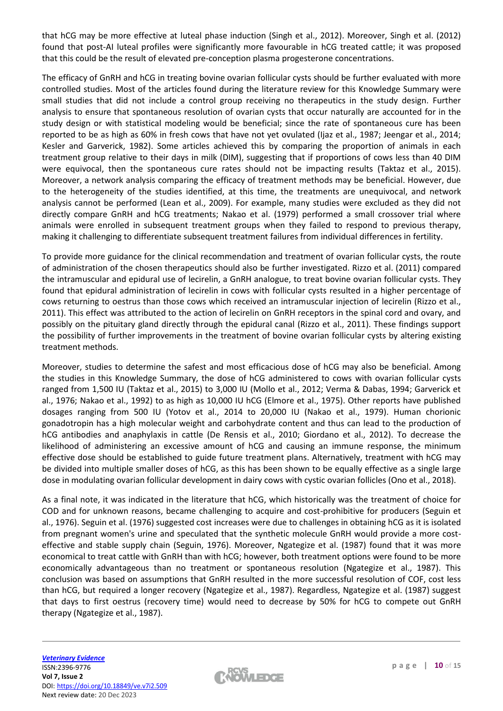that hCG may be more effective at luteal phase induction (Singh et al., 2012). Moreover, Singh et al. (2012) found that post-AI luteal profiles were significantly more favourable in hCG treated cattle; it was proposed that this could be the result of elevated pre-conception plasma progesterone concentrations.

The efficacy of GnRH and hCG in treating bovine ovarian follicular cysts should be further evaluated with more controlled studies. Most of the articles found during the literature review for this Knowledge Summary were small studies that did not include a control group receiving no therapeutics in the study design. Further analysis to ensure that spontaneous resolution of ovarian cysts that occur naturally are accounted for in the study design or with statistical modeling would be beneficial; since the rate of spontaneous cure has been reported to be as high as 60% in fresh cows that have not yet ovulated (Ijaz et al., 1987; Jeengar et al., 2014; Kesler and Garverick, 1982). Some articles achieved this by comparing the proportion of animals in each treatment group relative to their days in milk (DIM), suggesting that if proportions of cows less than 40 DIM were equivocal, then the spontaneous cure rates should not be impacting results (Taktaz et al., 2015). Moreover, a network analysis comparing the efficacy of treatment methods may be beneficial. However, due to the heterogeneity of the studies identified, at this time, the treatments are unequivocal, and network analysis cannot be performed (Lean et al., 2009). For example, many studies were excluded as they did not directly compare GnRH and hCG treatments; Nakao et al. (1979) performed a small crossover trial where animals were enrolled in subsequent treatment groups when they failed to respond to previous therapy, making it challenging to differentiate subsequent treatment failures from individual differences in fertility.

To provide more guidance for the clinical recommendation and treatment of ovarian follicular cysts, the route of administration of the chosen therapeutics should also be further investigated. Rizzo et al. (2011) compared the intramuscular and epidural use of lecirelin, a GnRH analogue, to treat bovine ovarian follicular cysts. They found that epidural administration of lecirelin in cows with follicular cysts resulted in a higher percentage of cows returning to oestrus than those cows which received an intramuscular injection of lecirelin (Rizzo et al., 2011). This effect was attributed to the action of lecirelin on GnRH receptors in the spinal cord and ovary, and possibly on the pituitary gland directly through the epidural canal (Rizzo et al., 2011). These findings support the possibility of further improvements in the treatment of bovine ovarian follicular cysts by altering existing treatment methods.

Moreover, studies to determine the safest and most efficacious dose of hCG may also be beneficial. Among the studies in this Knowledge Summary, the dose of hCG administered to cows with ovarian follicular cysts ranged from 1,500 IU (Taktaz et al., 2015) to 3,000 IU (Mollo et al., 2012; Verma & Dabas, 1994; Garverick et al., 1976; Nakao et al., 1992) to as high as 10,000 IU hCG (Elmore et al., 1975). Other reports have published dosages ranging from 500 IU (Yotov et al., 2014 to 20,000 IU (Nakao et al., 1979). Human chorionic gonadotropin has a high molecular weight and carbohydrate content and thus can lead to the production of hCG antibodies and anaphylaxis in cattle (De Rensis et al., 2010; Giordano et al., 2012). To decrease the likelihood of administering an excessive amount of hCG and causing an immune response, the minimum effective dose should be established to guide future treatment plans. Alternatively, treatment with hCG may be divided into multiple smaller doses of hCG, as this has been shown to be equally effective as a single large dose in modulating ovarian follicular development in dairy cows with cystic ovarian follicles (Ono et al., 2018).

As a final note, it was indicated in the literature that hCG, which historically was the treatment of choice for COD and for unknown reasons, became challenging to acquire and cost-prohibitive for producers (Seguin et al., 1976). Seguin et al. (1976) suggested cost increases were due to challenges in obtaining hCG as it is isolated from pregnant women's urine and speculated that the synthetic molecule GnRH would provide a more costeffective and stable supply chain (Seguin, 1976). Moreover, Ngategize et al. (1987) found that it was more economical to treat cattle with GnRH than with hCG; however, both treatment options were found to be more economically advantageous than no treatment or spontaneous resolution (Ngategize et al., 1987). This conclusion was based on assumptions that GnRH resulted in the more successful resolution of COF, cost less than hCG, but required a longer recovery (Ngategize et al., 1987). Regardless, Ngategize et al. (1987) suggest that days to first oestrus (recovery time) would need to decrease by 50% for hCG to compete out GnRH therapy (Ngategize et al., 1987).

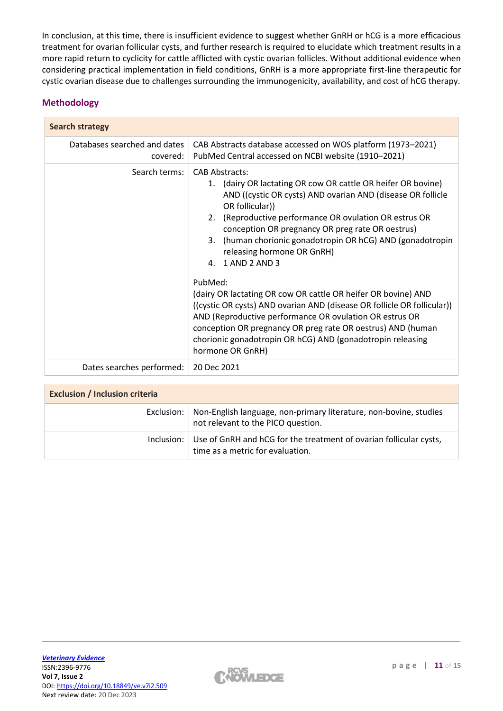In conclusion, at this time, there is insufficient evidence to suggest whether GnRH or hCG is a more efficacious treatment for ovarian follicular cysts, and further research is required to elucidate which treatment results in a more rapid return to cyclicity for cattle afflicted with cystic ovarian follicles. Without additional evidence when considering practical implementation in field conditions, GnRH is a more appropriate first-line therapeutic for cystic ovarian disease due to challenges surrounding the immunogenicity, availability, and cost of hCG therapy.

## **Methodology**

| <b>Search strategy</b>                   |                                                                                                                                                                                                                                                                                                                                                                                                                                                                                                                                                                                                                                                                                                                                                                             |  |  |  |
|------------------------------------------|-----------------------------------------------------------------------------------------------------------------------------------------------------------------------------------------------------------------------------------------------------------------------------------------------------------------------------------------------------------------------------------------------------------------------------------------------------------------------------------------------------------------------------------------------------------------------------------------------------------------------------------------------------------------------------------------------------------------------------------------------------------------------------|--|--|--|
| Databases searched and dates<br>covered: | CAB Abstracts database accessed on WOS platform (1973-2021)<br>PubMed Central accessed on NCBI website (1910-2021)                                                                                                                                                                                                                                                                                                                                                                                                                                                                                                                                                                                                                                                          |  |  |  |
| Search terms:                            | <b>CAB Abstracts:</b><br>(dairy OR lactating OR cow OR cattle OR heifer OR bovine)<br>1.<br>AND ((cystic OR cysts) AND ovarian AND (disease OR follicle<br>OR follicular))<br>2. (Reproductive performance OR ovulation OR estrus OR<br>conception OR pregnancy OR preg rate OR oestrus)<br>3. (human chorionic gonadotropin OR hCG) AND (gonadotropin<br>releasing hormone OR GnRH)<br>4. 1 AND 2 AND 3<br>PubMed:<br>(dairy OR lactating OR cow OR cattle OR heifer OR bovine) AND<br>((cystic OR cysts) AND ovarian AND (disease OR follicle OR follicular))<br>AND (Reproductive performance OR ovulation OR estrus OR<br>conception OR pregnancy OR preg rate OR oestrus) AND (human<br>chorionic gonadotropin OR hCG) AND (gonadotropin releasing<br>hormone OR GnRH) |  |  |  |
| Dates searches performed:                | 20 Dec 2021                                                                                                                                                                                                                                                                                                                                                                                                                                                                                                                                                                                                                                                                                                                                                                 |  |  |  |

| <b>Exclusion / Inclusion criteria</b> |                                                                                                         |  |  |  |
|---------------------------------------|---------------------------------------------------------------------------------------------------------|--|--|--|
| Exclusion:                            | Non-English language, non-primary literature, non-bovine, studies<br>not relevant to the PICO question. |  |  |  |
| Inclusion: I                          | Use of GnRH and hCG for the treatment of ovarian follicular cysts,<br>time as a metric for evaluation.  |  |  |  |

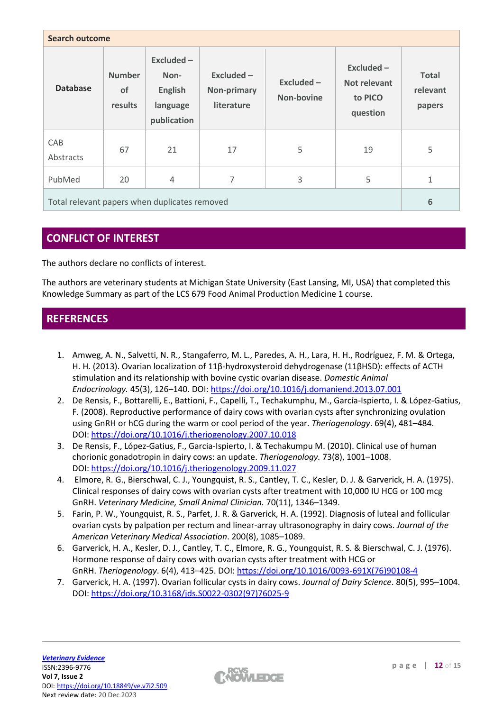| <b>Search outcome</b>                         |                                |                                                                |                                           |                            |                                                     |                                    |
|-----------------------------------------------|--------------------------------|----------------------------------------------------------------|-------------------------------------------|----------------------------|-----------------------------------------------------|------------------------------------|
| <b>Database</b>                               | <b>Number</b><br>of<br>results | Excluded-<br>Non-<br><b>English</b><br>language<br>publication | Excluded $-$<br>Non-primary<br>literature | $Excluded -$<br>Non-bovine | Excluded $-$<br>Not relevant<br>to PICO<br>question | <b>Total</b><br>relevant<br>papers |
| <b>CAB</b><br>Abstracts                       | 67                             | 21                                                             | 17                                        | 5                          | 19                                                  | 5                                  |
| PubMed                                        | 20                             | $\overline{4}$                                                 | 7                                         | 3                          | 5                                                   | $\mathbf 1$                        |
| Total relevant papers when duplicates removed |                                |                                                                |                                           | 6                          |                                                     |                                    |

# **CONFLICT OF INTEREST**

The authors declare no conflicts of interest.

The authors are veterinary students at Michigan State University (East Lansing, MI, USA) that completed this Knowledge Summary as part of the LCS 679 Food Animal Production Medicine 1 course.

# **REFERENCES**

- 1. Amweg, A. N., Salvetti, N. R., Stangaferro, M. L., Paredes, A. H., Lara, H. H., Rodríguez, F. M. & Ortega, H. H. (2013). Ovarian localization of 11β-hydroxysteroid dehydrogenase (11βHSD): effects of ACTH stimulation and its relationship with bovine cystic ovarian disease. *Domestic Animal Endocrinology.* 45(3), 126–140. DOI: <https://doi.org/10.1016/j.domaniend.2013.07.001>
- 2. De Rensis, F., Bottarelli, E., Battioni, F., Capelli, T., Techakumphu, M., García-Ispierto, I. & López-Gatius, F. (2008). Reproductive performance of dairy cows with ovarian cysts after synchronizing ovulation using GnRH or hCG during the warm or cool period of the year. *Theriogenology*. 69(4), 481–484. DOI: <https://doi.org/10.1016/j.theriogenology.2007.10.018>
- 3. De Rensis, F., López-Gatius, F., Garcia-Ispierto, I. & Techakumpu M. (2010). Clinical use of human chorionic gonadotropin in dairy cows: an update. *Theriogenology.* 73(8), 1001–1008. DOI: <https://doi.org/10.1016/j.theriogenology.2009.11.027>
- 4. Elmore, R. G., Bierschwal, C. J., Youngquist, R. S., Cantley, T. C., Kesler, D. J. & Garverick, H. A. (1975). Clinical responses of dairy cows with ovarian cysts after treatment with 10,000 IU HCG or 100 mcg GnRH. *Veterinary Medicine, Small Animal Clinician.* 70(11), 1346–1349.
- 5. Farin, P. W., Youngquist, R. S., Parfet, J. R. & Garverick, H. A. (1992). Diagnosis of luteal and follicular ovarian cysts by palpation per rectum and linear-array ultrasonography in dairy cows. *Journal of the American Veterinary Medical Association*. 200(8), 1085–1089.
- 6. Garverick, H. A., Kesler, D. J., Cantley, T. C., Elmore, R. G., Youngquist, R. S. & Bierschwal, C. J. (1976). Hormone response of dairy cows with ovarian cysts after treatment with HCG or GnRH. *Theriogenology*. 6(4), 413–425. DOI: [https://doi.org/10.1016/0093-691X\(76\)90108-4](https://doi.org/10.1016/0093-691X(76)90108-4)
- 7. Garverick, H. A. (1997). Ovarian follicular cysts in dairy cows. *Journal of Dairy Science*. 80(5), 995–1004. DOI: [https://doi.org/10.3168/jds.S0022-0302\(97\)76025-9](https://doi.org/10.3168/jds.S0022-0302(97)76025-9)

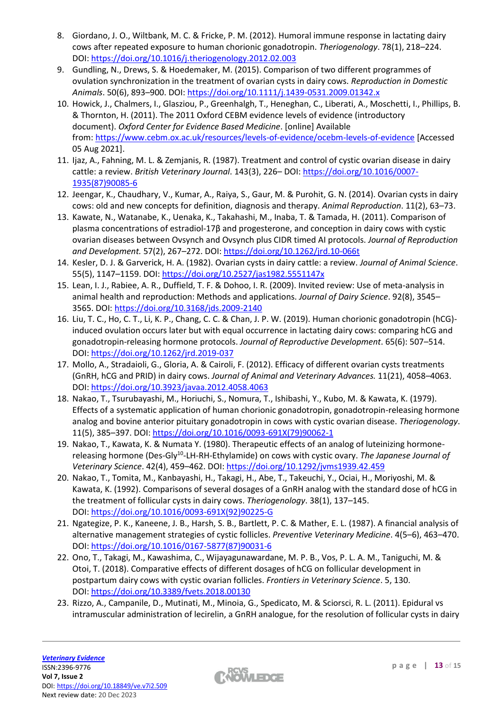- 8. Giordano, J. O., Wiltbank, M. C. & Fricke, P. M. (2012). Humoral immune response in lactating dairy cows after repeated exposure to human chorionic gonadotropin. *Theriogenology*. 78(1), 218–224. DOI: <https://doi.org/10.1016/j.theriogenology.2012.02.003>
- 9. Gundling, N., Drews, S. & Hoedemaker, M. (2015). Comparison of two different programmes of ovulation synchronization in the treatment of ovarian cysts in dairy cows. *Reproduction in Domestic Animals*. 50(6), 893–900. DOI: <https://doi.org/10.1111/j.1439-0531.2009.01342.x>
- 10. Howick, J., Chalmers, I., Glasziou, P., Greenhalgh, T., Heneghan, C., Liberati, A., Moschetti, I., Phillips, B. & Thornton, H. (2011). The 2011 Oxford CEBM evidence levels of evidence (introductory document). *Oxford Center for Evidence Based Medicine*. [online] Available from: <https://www.cebm.ox.ac.uk/resources/levels-of-evidence/ocebm-levels-of-evidence> [Accessed 05 Aug 2021].
- 11. Ijaz, A., Fahning, M. L. & Zemjanis, R. (1987). Treatment and control of cystic ovarian disease in dairy cattle: a review. *British Veterinary Journal*. 143(3), 226– DOI: [https://doi.org/10.1016/0007-](https://doi.org/10.1016/0007-1935(87)90085-6) [1935\(87\)90085-6](https://doi.org/10.1016/0007-1935(87)90085-6)
- 12. Jeengar, K., Chaudhary, V., Kumar, A., Raiya, S., Gaur, M. & Purohit, G. N. (2014). Ovarian cysts in dairy cows: old and new concepts for definition, diagnosis and therapy. *Animal Reproduction*. 11(2), 63–73.
- 13. Kawate, N., Watanabe, K., Uenaka, K., Takahashi, M., Inaba, T. & Tamada, H. (2011). Comparison of plasma concentrations of estradiol-17β and progesterone, and conception in dairy cows with cystic ovarian diseases between Ovsynch and Ovsynch plus CIDR timed AI protocols. *Journal of Reproduction and Development.* 57(2), 267–272. DOI: <https://doi.org/10.1262/jrd.10-066t>
- 14. Kesler, D. J. & Garverick, H. A. (1982). Ovarian cysts in dairy cattle: a review. *Journal of Animal Science*. 55(5), 1147–1159. DOI: <https://doi.org/10.2527/jas1982.5551147x>
- 15. Lean, I. J., Rabiee, A. R., Duffield, T. F. & Dohoo, I. R. (2009). Invited review: Use of meta-analysis in animal health and reproduction: Methods and applications. *Journal of Dairy Science*. 92(8), 3545– 3565. DOI: <https://doi.org/10.3168/jds.2009-2140>
- 16. Liu, T. C., Ho, C. T., Li, K. P., Chang, C. C. & Chan, J. P. W. (2019). Human chorionic gonadotropin (hCG) induced ovulation occurs later but with equal occurrence in lactating dairy cows: comparing hCG and gonadotropin-releasing hormone protocols. *Journal of Reproductive Development*. 65(6): 507–514. DOI: <https://doi.org/10.1262/jrd.2019-037>
- 17. Mollo, A., Stradaioli, G., Gloria, A. & Cairoli, F. (2012). Efficacy of different ovarian cysts treatments (GnRH, hCG and PRID) in dairy cows. *Journal of Animal and Veterinary Advances.* 11(21), 4058–4063. DOI: <https://doi.org/10.3923/javaa.2012.4058.4063>
- 18. Nakao, T., Tsurubayashi, M., Horiuchi, S., Nomura, T., Ishibashi, Y., Kubo, M. & Kawata, K. (1979). Effects of a systematic application of human chorionic gonadotropin, gonadotropin-releasing hormone analog and bovine anterior pituitary gonadotropin in cows with cystic ovarian disease. *Theriogenology*. 11(5), 385–397. DOI: [https://doi.org/10.1016/0093-691X\(79\)90062-1](https://doi.org/10.1016/0093-691X(79)90062-1)
- 19. Nakao, T., Kawata, K. & Numata Y. (1980). Therapeutic effects of an analog of luteinizing hormonereleasing hormone (Des-Gly<sup>10</sup>-LH-RH-Ethylamide) on cows with cystic ovary. *The Japanese Journal of Veterinary Science*. 42(4), 459–462. DOI: <https://doi.org/10.1292/jvms1939.42.459>
- 20. Nakao, T., Tomita, M., Kanbayashi, H., Takagi, H., Abe, T., Takeuchi, Y., Ociai, H., Moriyoshi, M. & Kawata, K. (1992). Comparisons of several dosages of a GnRH analog with the standard dose of hCG in the treatment of follicular cysts in dairy cows. *Theriogenology*. 38(1), 137–145. DOI: [https://doi.org/10.1016/0093-691X\(92\)90225-G](https://doi.org/10.1016/0093-691X(92)90225-G)
- 21. Ngategize, P. K., Kaneene, J. B., Harsh, S. B., Bartlett, P. C. & Mather, E. L. (1987). A financial analysis of alternative management strategies of cystic follicles. *Preventive Veterinary Medicine*. 4(5–6), 463–470. DOI: [https://doi.org/10.1016/0167-5877\(87\)90031-6](https://doi.org/10.1016/0167-5877(87)90031-6)
- 22. Ono, T., Takagi, M., Kawashima, C., Wijayagunawardane, M. P. B., Vos, P. L. A. M., Taniguchi, M. & Otoi, T. (2018). Comparative effects of different dosages of hCG on follicular development in postpartum dairy cows with cystic ovarian follicles. *Frontiers in Veterinary Science*. 5, 130. DOI: <https://doi.org/10.3389/fvets.2018.00130>
- 23. Rizzo, A., Campanile, D., Mutinati, M., Minoia, G., Spedicato, M. & Sciorsci, R. L. (2011). Epidural vs intramuscular administration of lecirelin, a GnRH analogue, for the resolution of follicular cysts in dairy

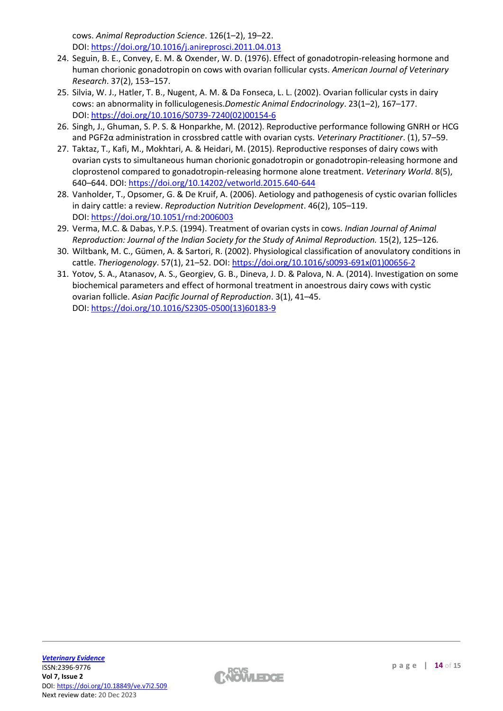cows. *Animal Reproduction Science*. 126(1–2), 19–22. DOI: <https://doi.org/10.1016/j.anireprosci.2011.04.013>

- 24. Seguin, B. E., Convey, E. M. & Oxender, W. D. (1976). Effect of gonadotropin-releasing hormone and human chorionic gonadotropin on cows with ovarian follicular cysts. *American Journal of Veterinary Research*. 37(2), 153–157.
- 25. Silvia, W. J., Hatler, T. B., Nugent, A. M. & Da Fonseca, L. L. (2002). Ovarian follicular cysts in dairy cows: an abnormality in folliculogenesis.*Domestic Animal Endocrinology*. 23(1–2), 167–177. DOI: [https://doi.org/10.1016/S0739-7240\(02\)00154-6](https://doi.org/10.1016/S0739-7240(02)00154-6)
- 26. Singh, J., Ghuman, S. P. S. & Honparkhe, M. (2012). Reproductive performance following GNRH or HCG and PGF2α administration in crossbred cattle with ovarian cysts. *Veterinary Practitioner*. (1), 57–59.
- 27. Taktaz, T., Kafi, M., Mokhtari, A. & Heidari, M. (2015). Reproductive responses of dairy cows with ovarian cysts to simultaneous human chorionic gonadotropin or gonadotropin-releasing hormone and cloprostenol compared to gonadotropin-releasing hormone alone treatment. *Veterinary World*. 8(5), 640–644. DOI: <https://doi.org/10.14202/vetworld.2015.640-644>
- 28. Vanholder, T., Opsomer, G. & De Kruif, A. (2006). Aetiology and pathogenesis of cystic ovarian follicles in dairy cattle: a review. *Reproduction Nutrition Development*. 46(2), 105–119. DOI: <https://doi.org/10.1051/rnd:2006003>
- 29. Verma, M.C. & Dabas, Y.P.S. (1994). Treatment of ovarian cysts in cows. *Indian Journal of Animal Reproduction: Journal of the Indian Society for the Study of Animal Reproduction.* 15(2), 125–126*.*
- 30. Wiltbank, M. C., Gümen, A. & Sartori, R. (2002). Physiological classification of anovulatory conditions in cattle. *Theriogenology*. 57(1), 21–52. DOI: [https://doi.org/10.1016/s0093-691x\(01\)00656-2](https://doi.org/10.1016/s0093-691x(01)00656-2%20%0d)
- 31. Yotov, S. A., Atanasov, A. S., Georgiev, G. B., Dineva, J. D. & Palova, N. A. (2014). Investigation on some biochemical parameters and effect of hormonal treatment in anoestrous dairy cows with cystic ovarian follicle. *Asian Pacific Journal of Reproduction*. 3(1), 41–45. DOI: [https://doi.org/10.1016/S2305-0500\(13\)60183-9](https://doi.org/10.1016/S2305-0500(13)60183-9)